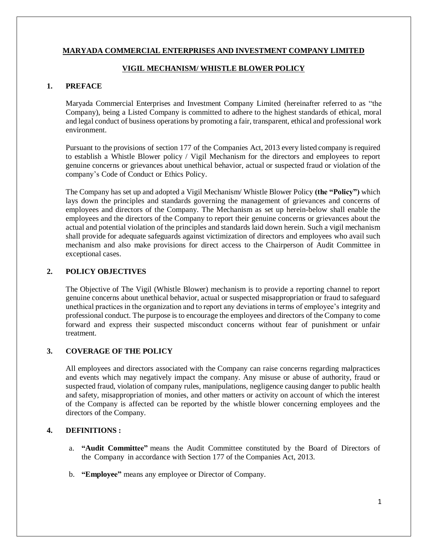#### **MARYADA COMMERCIAL ENTERPRISES AND INVESTMENT COMPANY LIMITED**

#### **VIGIL MECHANISM/ WHISTLE BLOWER POLICY**

## **1. PREFACE**

Maryada Commercial Enterprises and Investment Company Limited (hereinafter referred to as "the Company), being a Listed Company is committed to adhere to the highest standards of ethical, moral and legal conduct of business operations by promoting a fair, transparent, ethical and professional work environment.

Pursuant to the provisions of section 177 of the Companies Act, 2013 every listed company is required to establish a Whistle Blower policy / Vigil Mechanism for the directors and employees to report genuine concerns or grievances about unethical behavior, actual or suspected fraud or violation of the company's Code of Conduct or Ethics Policy.

The Company has set up and adopted a Vigil Mechanism/ Whistle Blower Policy **(the "Policy")** which lays down the principles and standards governing the management of grievances and concerns of employees and directors of the Company. The Mechanism as set up herein-below shall enable the employees and the directors of the Company to report their genuine concerns or grievances about the actual and potential violation of the principles and standards laid down herein. Such a vigil mechanism shall provide for adequate safeguards against victimization of directors and employees who avail such mechanism and also make provisions for direct access to the Chairperson of Audit Committee in exceptional cases.

#### **2. POLICY OBJECTIVES**

The Objective of The Vigil (Whistle Blower) mechanism is to provide a reporting channel to report genuine concerns about unethical behavior, actual or suspected misappropriation or fraud to safeguard unethical practices in the organization and to report any deviations in terms of employee's integrity and professional conduct. The purpose is to encourage the employees and directors of the Company to come forward and express their suspected misconduct concerns without fear of punishment or unfair treatment.

## **3. COVERAGE OF THE POLICY**

All employees and directors associated with the Company can raise concerns regarding malpractices and events which may negatively impact the company. Any misuse or abuse of authority, fraud or suspected fraud, violation of company rules, manipulations, negligence causing danger to public health and safety, misappropriation of monies, and other matters or activity on account of which the interest of the Company is affected can be reported by the whistle blower concerning employees and the directors of the Company.

## **4. DEFINITIONS :**

- a. **"Audit Committee"** means the Audit Committee constituted by the Board of Directors of the Company in accordance with Section 177 of the Companies Act, 2013.
- b. **"Employee"** means any employee or Director of Company.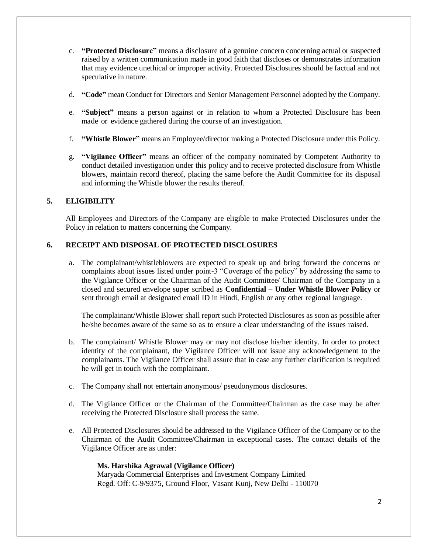- c. **"Protected Disclosure"** means a disclosure of a genuine concern concerning actual or suspected raised by a written communication made in good faith that discloses or demonstrates information that may evidence unethical or improper activity. Protected Disclosures should be factual and not speculative in nature.
- d. **"Code"** mean Conduct for Directors and Senior Management Personnel adopted by the Company.
- e. **"Subject"** means a person against or in relation to whom a Protected Disclosure has been made or evidence gathered during the course of an investigation.
- f. **"Whistle Blower"** means an Employee/director making a Protected Disclosure under this Policy.
- g. **"Vigilance Officer"** means an officer of the company nominated by Competent Authority to conduct detailed investigation under this policy and to receive protected disclosure from Whistle blowers, maintain record thereof, placing the same before the Audit Committee for its disposal and informing the Whistle blower the results thereof.

## **5. ELIGIBILITY**

All Employees and Directors of the Company are eligible to make Protected Disclosures under the Policy in relation to matters concerning the Company.

## **6. RECEIPT AND DISPOSAL OF PROTECTED DISCLOSURES**

a. The complainant/whistleblowers are expected to speak up and bring forward the concerns or complaints about issues listed under point-3 "Coverage of the policy" by addressing the same to the Vigilance Officer or the Chairman of the Audit Committee/ Chairman of the Company in a closed and secured envelope super scribed as **Confidential – Under Whistle Blower Policy** or sent through email at designated email ID in Hindi, English or any other regional language.

The complainant/Whistle Blower shall report such Protected Disclosures as soon as possible after he/she becomes aware of the same so as to ensure a clear understanding of the issues raised.

- b. The complainant/ Whistle Blower may or may not disclose his/her identity. In order to protect identity of the complainant, the Vigilance Officer will not issue any acknowledgement to the complainants. The Vigilance Officer shall assure that in case any further clarification is required he will get in touch with the complainant.
- c. The Company shall not entertain anonymous/ pseudonymous disclosures.
- d. The Vigilance Officer or the Chairman of the Committee/Chairman as the case may be after receiving the Protected Disclosure shall process the same.
- e. All Protected Disclosures should be addressed to the Vigilance Officer of the Company or to the Chairman of the Audit Committee/Chairman in exceptional cases. The contact details of the Vigilance Officer are as under:

#### **Ms. Harshika Agrawal (Vigilance Officer)**

Maryada Commercial Enterprises and Investment Company Limited Regd. Off: C-9/9375, Ground Floor, Vasant Kunj, New Delhi - 110070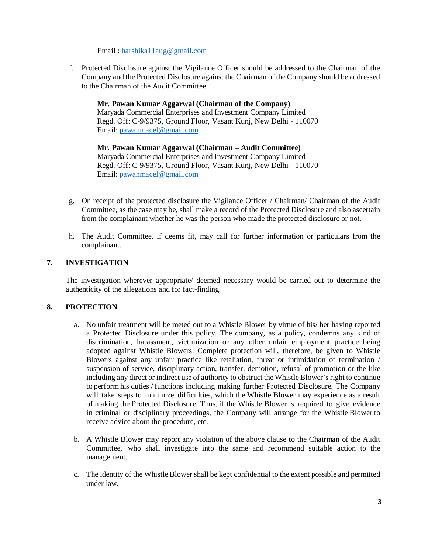Email : [harshika11aug@gmail.com](mailto:harshika11aug@gmail.com)

f. Protected Disclosure against the Vigilance Officer should be addressed to the Chairman of the Company and the Protected Disclosure against the Chairman of the Company should be addressed to the Chairman of the Audit Committee.

**Mr. Pawan Kumar Aggarwal (Chairman of the Company)**  Maryada Commercial Enterprises and Investment Company Limited Regd. Off: C-9/9375, Ground Floor, Vasant Kunj, New Delhi - 110070 Email: [pawanmacel@gmail.com](mailto:pawanmacel@gmail.com)

**Mr. Pawan Kumar Aggarwal (Chairman – Audit Committee)**  Maryada Commercial Enterprises and Investment Company Limited Regd. Off: C-9/9375, Ground Floor, Vasant Kunj, New Delhi - 110070 Email: [pawanmacel@gmail.com](mailto:pawanmacel@gmail.com)

- g. On receipt of the protected disclosure the Vigilance Officer / Chairman/ Chairman of the Audit Committee, as the case may be, shall make a record of the Protected Disclosure and also ascertain from the complainant whether he was the person who made the protected disclosure or not.
- h. The Audit Committee, if deems fit, may call for further information or particulars from the complainant.

## **7. INVESTIGATION**

The investigation wherever appropriate/ deemed necessary would be carried out to determine the authenticity of the allegations and for fact-finding.

#### **8. PROTECTION**

- a. No unfair treatment will be meted out to a Whistle Blower by virtue of his/ her having reported a Protected Disclosure under this policy. The company, as a policy, condemns any kind of discrimination, harassment, victimization or any other unfair employment practice being adopted against Whistle Blowers. Complete protection will, therefore, be given to Whistle Blowers against any unfair practice like retaliation, threat or intimidation of termination / suspension of service, disciplinary action, transfer, demotion, refusal of promotion or the like including any direct or indirect use of authority to obstruct the Whistle Blower's right to continue to perform his duties / functions including making further Protected Disclosure. The Company will take steps to minimize difficulties, which the Whistle Blower may experience as a result of making the Protected Disclosure. Thus, if the Whistle Blower is required to give evidence in criminal or disciplinary proceedings, the Company will arrange for the Whistle Blower to receive advice about the procedure, etc.
- b. A Whistle Blower may report any violation of the above clause to the Chairman of the Audit Committee, who shall investigate into the same and recommend suitable action to the management.
- c. The identity of the Whistle Blower shall be kept confidential to the extent possible and permitted under law.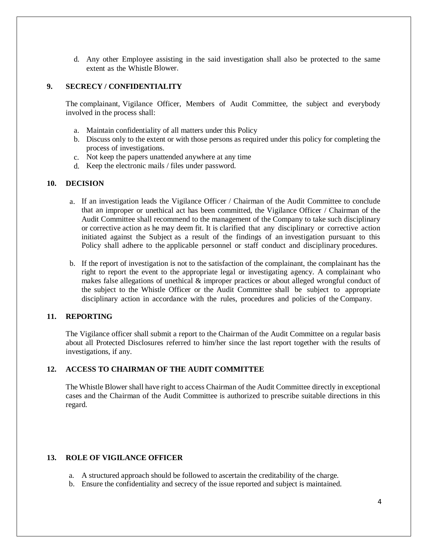d. Any other Employee assisting in the said investigation shall also be protected to the same extent as the Whistle Blower.

## **9. SECRECY / CONFIDENTIALITY**

The complainant, Vigilance Officer, Members of Audit Committee, the subject and everybody involved in the process shall:

- a. Maintain confidentiality of all matters under this Policy
- b. Discuss only to the extent or with those persons as required under this policy for completing the process of investigations.
- c. Not keep the papers unattended anywhere at any time
- d. Keep the electronic mails / files under password.

#### **10. DECISION**

- a. If an investigation leads the Vigilance Officer / Chairman of the Audit Committee to conclude that an improper or unethical act has been committed, the Vigilance Officer / Chairman of the Audit Committee shall recommend to the management of the Company to take such disciplinary or corrective action as he may deem fit. It is clarified that any disciplinary or corrective action initiated against the Subject as a result of the findings of an investigation pursuant to this Policy shall adhere to the applicable personnel or staff conduct and disciplinary procedures.
- b. If the report of investigation is not to the satisfaction of the complainant, the complainant has the right to report the event to the appropriate legal or investigating agency. A complainant who makes false allegations of unethical & improper practices or about alleged wrongful conduct of the subject to the Whistle Officer or the Audit Committee shall be subject to appropriate disciplinary action in accordance with the rules, procedures and policies of the Company.

#### **11. REPORTING**

The Vigilance officer shall submit a report to the Chairman of the Audit Committee on a regular basis about all Protected Disclosures referred to him/her since the last report together with the results of investigations, if any.

## **12. ACCESS TO CHAIRMAN OF THE AUDIT COMMITTEE**

The Whistle Blower shall have right to access Chairman of the Audit Committee directly in exceptional cases and the Chairman of the Audit Committee is authorized to prescribe suitable directions in this regard.

### **13. ROLE OF VIGILANCE OFFICER**

- a. A structured approach should be followed to ascertain the creditability of the charge.
- b. Ensure the confidentiality and secrecy of the issue reported and subject is maintained.